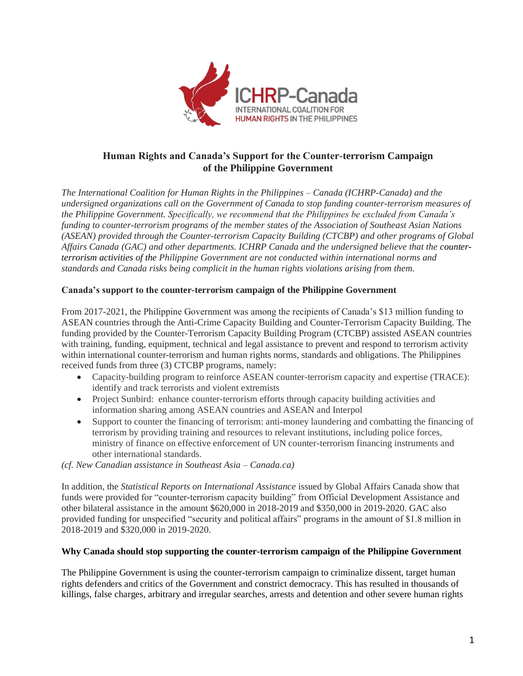

# **Human Rights and Canada's Support for the Counter-terrorism Campaign of the Philippine Government**

*The International Coalition for Human Rights in the Philippines – Canada (ICHRP-Canada) and the undersigned organizations call on the Government of Canada to stop funding counter-terrorism measures of the Philippine Government. Specifically, we recommend that the Philippines be excluded from Canada's funding to counter-terrorism programs of the member states of the Association of Southeast Asian Nations (ASEAN) provided through the Counter-terrorism Capacity Building (CTCBP) and other programs of Global Affairs Canada (GAC) and other departments. ICHRP Canada and the undersigned believe that the counterterrorism activities of the Philippine Government are not conducted within international norms and standards and Canada risks being complicit in the human rights violations arising from them.*

### **Canada's support to the counter-terrorism campaign of the Philippine Government**

From 2017-2021, the Philippine Government was among the recipients of Canada's \$13 million funding to ASEAN countries through the Anti-Crime Capacity Building and Counter-Terrorism Capacity Building. The funding provided by the Counter-Terrorism Capacity Building Program (CTCBP) assisted ASEAN countries with training, funding, equipment, technical and legal assistance to prevent and respond to terrorism activity within international counter-terrorism and human rights norms, standards and obligations. The Philippines received funds from three (3) CTCBP programs, namely:

- Capacity-building program to reinforce ASEAN counter-terrorism capacity and expertise (TRACE): identify and track terrorists and violent extremists
- Project Sunbird: enhance counter-terrorism efforts through capacity building activities and information sharing among ASEAN countries and ASEAN and Interpol
- Support to counter the financing of terrorism: anti-money laundering and combatting the financing of terrorism by providing training and resources to relevant institutions, including police forces, ministry of finance on effective enforcement of UN counter-terrorism financing instruments and other international standards.

*(cf. New Canadian assistance in Southeast Asia – Canada.ca)*

In addition, the *Statistical Reports on International Assistance* issued by Global Affairs Canada show that funds were provided for "counter-terrorism capacity building" from Official Development Assistance and other bilateral assistance in the amount \$620,000 in 2018-2019 and \$350,000 in 2019-2020. GAC also provided funding for unspecified "security and political affairs" programs in the amount of \$1.8 million in 2018-2019 and \$320,000 in 2019-2020.

#### **Why Canada should stop supporting the counter-terrorism campaign of the Philippine Government**

The Philippine Government is using the counter-terrorism campaign to criminalize dissent, target human rights defenders and critics of the Government and constrict democracy. This has resulted in thousands of killings, false charges, arbitrary and irregular searches, arrests and detention and other severe human rights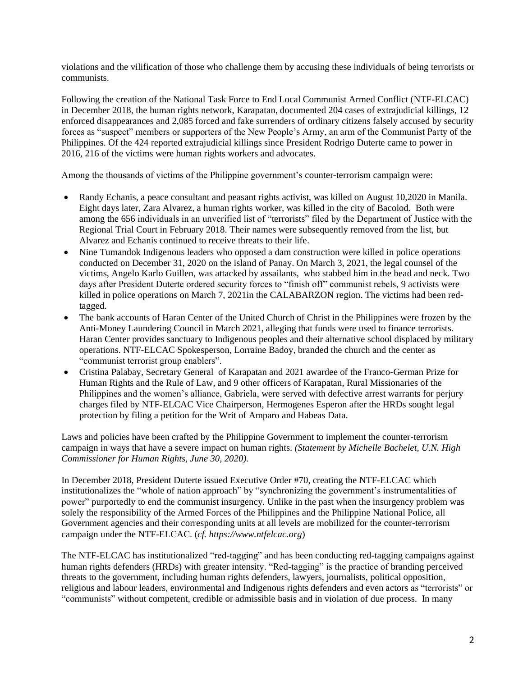violations and the vilification of those who challenge them by accusing these individuals of being terrorists or communists.

Following the creation of the National Task Force to End Local Communist Armed Conflict (NTF-ELCAC) in December 2018, the human rights network, Karapatan, documented 204 cases of extrajudicial killings, 12 enforced disappearances and 2,085 forced and fake surrenders of ordinary citizens falsely accused by security forces as "suspect" members or supporters of the New People's Army, an arm of the Communist Party of the Philippines. Of the 424 reported extrajudicial killings since President Rodrigo Duterte came to power in 2016, 216 of the victims were human rights workers and advocates.

Among the thousands of victims of the Philippine government's counter-terrorism campaign were:

- Randy Echanis, a peace consultant and peasant rights activist, was killed on August 10,2020 in Manila. Eight days later, Zara Alvarez, a human rights worker, was killed in the city of Bacolod. Both were among the 656 individuals in an unverified list of "terrorists" filed by the Department of Justice with the Regional Trial Court in February 2018. Their names were subsequently removed from the list, but Alvarez and Echanis continued to receive threats to their life.
- Nine Tumandok Indigenous leaders who opposed a dam construction were killed in police operations conducted on December 31, 2020 on the island of Panay. On March 3, 2021, the legal counsel of the victims, Angelo Karlo Guillen, was attacked by assailants, who stabbed him in the head and neck. Two days after President Duterte ordered security forces to "finish off" communist rebels, 9 activists were killed in police operations on March 7, 2021in the CALABARZON region. The victims had been redtagged.
- The bank accounts of Haran Center of the United Church of Christ in the Philippines were frozen by the Anti-Money Laundering Council in March 2021, alleging that funds were used to finance terrorists. Haran Center provides sanctuary to Indigenous peoples and their alternative school displaced by military operations. NTF-ELCAC Spokesperson, Lorraine Badoy, branded the church and the center as "communist terrorist group enablers".
- Cristina Palabay, Secretary General of Karapatan and 2021 awardee of the Franco-German Prize for Human Rights and the Rule of Law, and 9 other officers of Karapatan, Rural Missionaries of the Philippines and the women's alliance, Gabriela, were served with defective arrest warrants for perjury charges filed by NTF-ELCAC Vice Chairperson, Hermogenes Esperon after the HRDs sought legal protection by filing a petition for the Writ of Amparo and Habeas Data.

Laws and policies have been crafted by the Philippine Government to implement the counter-terrorism campaign in ways that have a severe impact on human rights. *(Statement by Michelle Bachelet, U.N. High Commissioner for Human Rights, June 30, 2020).* 

In December 2018, President Duterte issued Executive Order #70, creating the NTF-ELCAC which institutionalizes the "whole of nation approach" by "synchronizing the government's instrumentalities of power" purportedly to end the communist insurgency. Unlike in the past when the insurgency problem was solely the responsibility of the Armed Forces of the Philippines and the Philippine National Police, all Government agencies and their corresponding units at all levels are mobilized for the counter-terrorism campaign under the NTF-ELCAC. (*cf. https://www.ntfelcac.org*)

The NTF-ELCAC has institutionalized "red-tagging" and has been conducting red-tagging campaigns against human rights defenders (HRDs) with greater intensity. "Red-tagging" is the practice of branding perceived threats to the government, including human rights defenders, lawyers, journalists, political opposition, religious and labour leaders, environmental and Indigenous rights defenders and even actors as "terrorists" or "communists" without competent, credible or admissible basis and in violation of due process. In many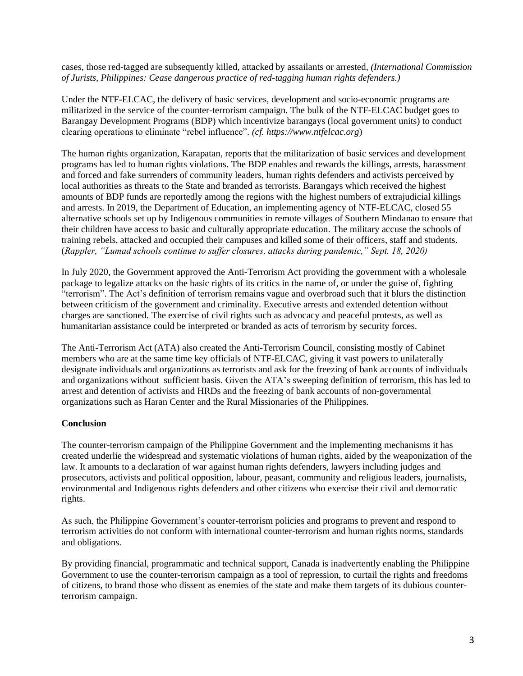cases, those red-tagged are subsequently killed, attacked by assailants or arrested, *(International Commission of Jurists, Philippines: Cease dangerous practice of red-tagging human rights defenders.)*

Under the NTF-ELCAC, the delivery of basic services, development and socio-economic programs are militarized in the service of the counter-terrorism campaign. The bulk of the NTF-ELCAC budget goes to Barangay Development Programs (BDP) which incentivize barangays (local government units) to conduct clearing operations to eliminate "rebel influence". *(cf. https://www.ntfelcac.org*)

The human rights organization, Karapatan, reports that the militarization of basic services and development programs has led to human rights violations. The BDP enables and rewards the killings, arrests, harassment and forced and fake surrenders of community leaders, human rights defenders and activists perceived by local authorities as threats to the State and branded as terrorists. Barangays which received the highest amounts of BDP funds are reportedly among the regions with the highest numbers of extrajudicial killings and arrests. In 2019, the Department of Education, an implementing agency of NTF-ELCAC, closed 55 alternative schools set up by Indigenous communities in remote villages of Southern Mindanao to ensure that their children have access to basic and culturally appropriate education. The military accuse the schools of training rebels, attacked and occupied their campuses and killed some of their officers, staff and students. (*Rappler, "Lumad schools continue to suffer closures, attacks during pandemic," Sept. 18, 2020)*

In July 2020, the Government approved the Anti-Terrorism Act providing the government with a wholesale package to legalize attacks on the basic rights of its critics in the name of, or under the guise of, fighting "terrorism". The Act's definition of terrorism remains vague and overbroad such that it blurs the distinction between criticism of the government and criminality. Executive arrests and extended detention without charges are sanctioned. The exercise of civil rights such as advocacy and peaceful protests, as well as humanitarian assistance could be interpreted or branded as acts of terrorism by security forces.

The Anti-Terrorism Act (ATA) also created the Anti-Terrorism Council, consisting mostly of Cabinet members who are at the same time key officials of NTF-ELCAC, giving it vast powers to unilaterally designate individuals and organizations as terrorists and ask for the freezing of bank accounts of individuals and organizations without sufficient basis. Given the ATA's sweeping definition of terrorism, this has led to arrest and detention of activists and HRDs and the freezing of bank accounts of non-governmental organizations such as Haran Center and the Rural Missionaries of the Philippines.

## **Conclusion**

The counter-terrorism campaign of the Philippine Government and the implementing mechanisms it has created underlie the widespread and systematic violations of human rights, aided by the weaponization of the law. It amounts to a declaration of war against human rights defenders, lawyers including judges and prosecutors, activists and political opposition, labour, peasant, community and religious leaders, journalists, environmental and Indigenous rights defenders and other citizens who exercise their civil and democratic rights.

As such, the Philippine Government's counter-terrorism policies and programs to prevent and respond to terrorism activities do not conform with international counter-terrorism and human rights norms, standards and obligations.

By providing financial, programmatic and technical support, Canada is inadvertently enabling the Philippine Government to use the counter-terrorism campaign as a tool of repression, to curtail the rights and freedoms of citizens, to brand those who dissent as enemies of the state and make them targets of its dubious counterterrorism campaign.